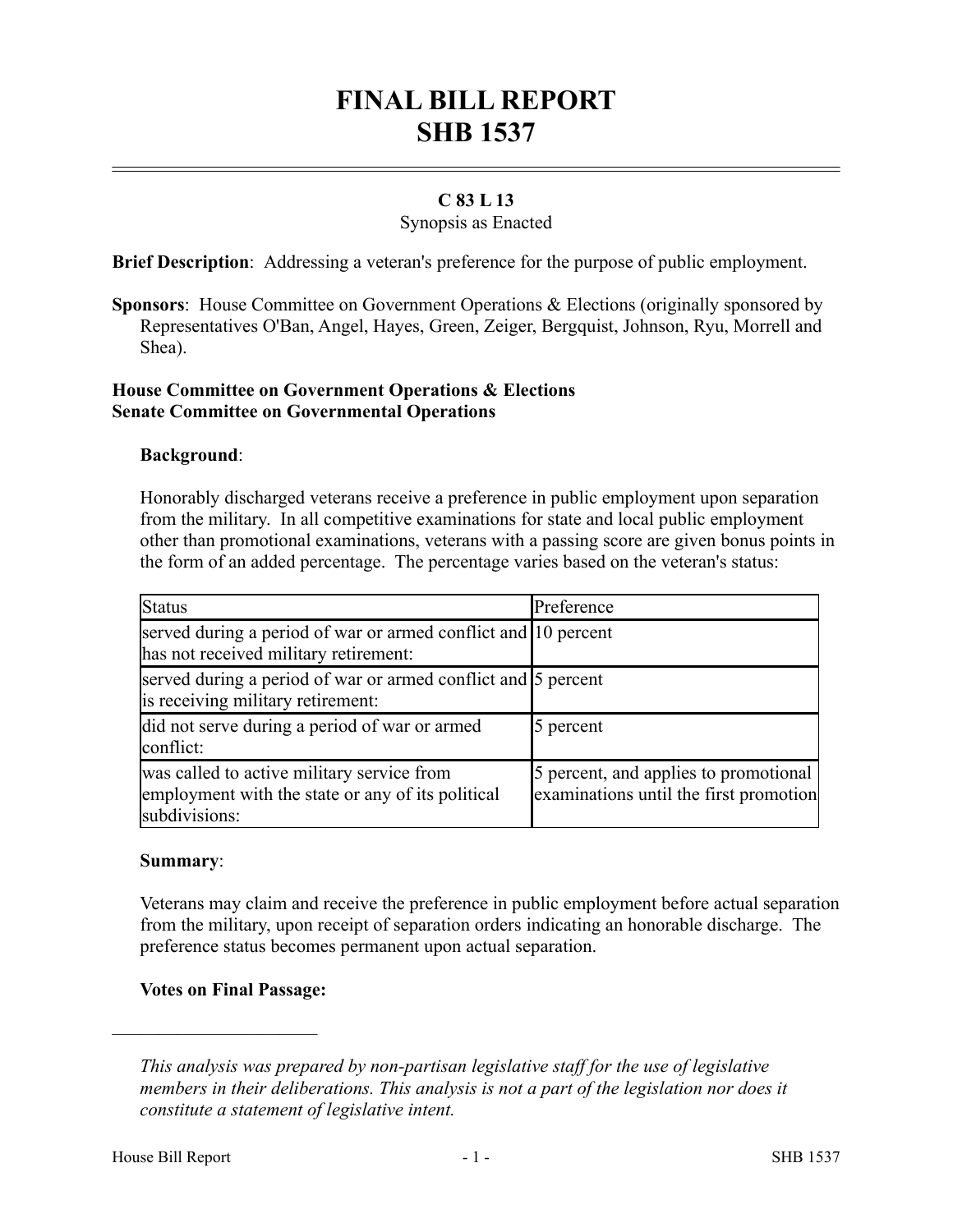# **FINAL BILL REPORT SHB 1537**

## **C 83 L 13**

### Synopsis as Enacted

**Brief Description**: Addressing a veteran's preference for the purpose of public employment.

**Sponsors**: House Committee on Government Operations & Elections (originally sponsored by Representatives O'Ban, Angel, Hayes, Green, Zeiger, Bergquist, Johnson, Ryu, Morrell and Shea).

#### **House Committee on Government Operations & Elections Senate Committee on Governmental Operations**

### **Background**:

Honorably discharged veterans receive a preference in public employment upon separation from the military. In all competitive examinations for state and local public employment other than promotional examinations, veterans with a passing score are given bonus points in the form of an added percentage. The percentage varies based on the veteran's status:

| <b>Status</b>                                                                                                    | Preference                                                                      |
|------------------------------------------------------------------------------------------------------------------|---------------------------------------------------------------------------------|
| served during a period of war or armed conflict and 10 percent<br>has not received military retirement:          |                                                                                 |
| served during a period of war or armed conflict and 5 percent<br>is receiving military retirement:               |                                                                                 |
| did not serve during a period of war or armed<br>conflict:                                                       | 5 percent                                                                       |
| was called to active military service from<br>employment with the state or any of its political<br>subdivisions: | 5 percent, and applies to promotional<br>examinations until the first promotion |

#### **Summary**:

Veterans may claim and receive the preference in public employment before actual separation from the military, upon receipt of separation orders indicating an honorable discharge. The preference status becomes permanent upon actual separation.

### **Votes on Final Passage:**

––––––––––––––––––––––

*This analysis was prepared by non-partisan legislative staff for the use of legislative members in their deliberations. This analysis is not a part of the legislation nor does it constitute a statement of legislative intent.*